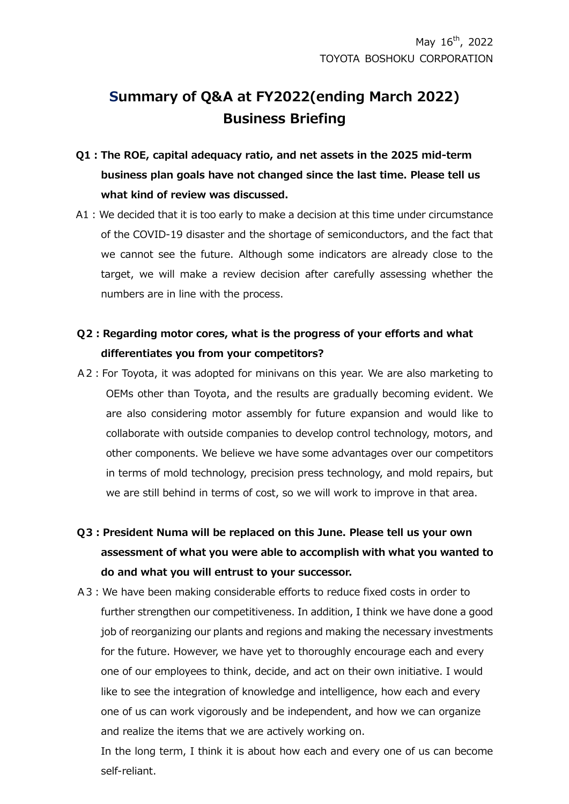## **Summary of Q&A at FY2022(ending March 2022) Business Briefing**

- **Q1:The ROE, capital adequacy ratio, and net assets in the 2025 mid-term business plan goals have not changed since the last time. Please tell us what kind of review was discussed.**
- A1:We decided that it is too early to make a decision at this time under circumstance of the COVID-19 disaster and the shortage of semiconductors, and the fact that we cannot see the future. Although some indicators are already close to the target, we will make a review decision after carefully assessing whether the numbers are in line with the process.

## **Q2:Regarding motor cores, what is the progress of your efforts and what differentiates you from your competitors?**

- A2:For Toyota, it was adopted for minivans on this year. We are also marketing to OEMs other than Toyota, and the results are gradually becoming evident. We are also considering motor assembly for future expansion and would like to collaborate with outside companies to develop control technology, motors, and other components. We believe we have some advantages over our competitors in terms of mold technology, precision press technology, and mold repairs, but we are still behind in terms of cost, so we will work to improve in that area.
- **Q3:President Numa will be replaced on this June. Please tell us your own assessment of what you were able to accomplish with what you wanted to do and what you will entrust to your successor.**
- A3:We have been making considerable efforts to reduce fixed costs in order to further strengthen our competitiveness. In addition, I think we have done a good job of reorganizing our plants and regions and making the necessary investments for the future. However, we have yet to thoroughly encourage each and every one of our employees to think, decide, and act on their own initiative. I would like to see the integration of knowledge and intelligence, how each and every one of us can work vigorously and be independent, and how we can organize and realize the items that we are actively working on.

In the long term, I think it is about how each and every one of us can become self-reliant.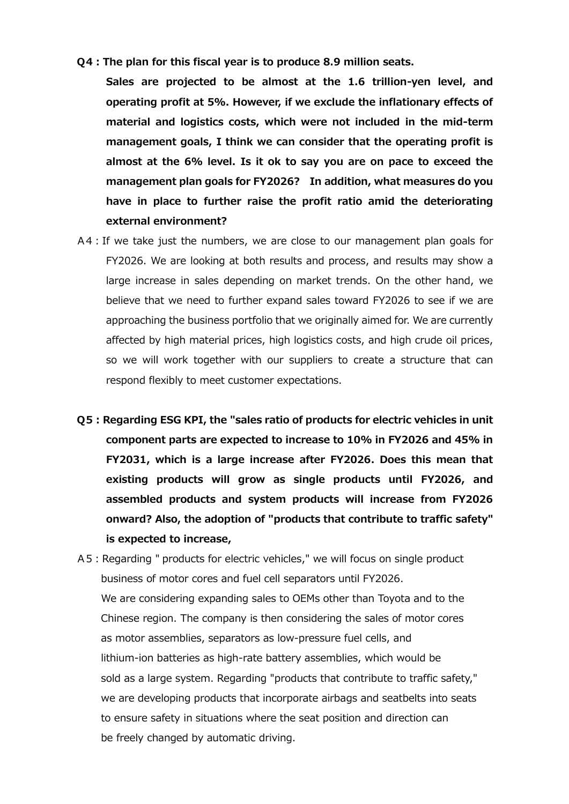**Q4:The plan for this fiscal year is to produce 8.9 million seats.**

**Sales are projected to be almost at the 1.6 trillion-yen level, and operating profit at 5%. However, if we exclude the inflationary effects of material and logistics costs, which were not included in the mid-term management goals, I think we can consider that the operating profit is almost at the 6% level. Is it ok to say you are on pace to exceed the management plan goals for FY2026? In addition, what measures do you have in place to further raise the profit ratio amid the deteriorating external environment?**

- A4:If we take just the numbers, we are close to our management plan goals for FY2026. We are looking at both results and process, and results may show a large increase in sales depending on market trends. On the other hand, we believe that we need to further expand sales toward FY2026 to see if we are approaching the business portfolio that we originally aimed for. We are currently affected by high material prices, high logistics costs, and high crude oil prices, so we will work together with our suppliers to create a structure that can respond flexibly to meet customer expectations.
- **Q5:Regarding ESG KPI, the "sales ratio of products for electric vehicles in unit component parts are expected to increase to 10% in FY2026 and 45% in FY2031, which is a large increase after FY2026. Does this mean that existing products will grow as single products until FY2026, and assembled products and system products will increase from FY2026 onward? Also, the adoption of "products that contribute to traffic safety" is expected to increase,**
- A5:Regarding " products for electric vehicles," we will focus on single product business of motor cores and fuel cell separators until FY2026. We are considering expanding sales to OEMs other than Toyota and to the Chinese region. The company is then considering the sales of motor cores as motor assemblies, separators as low-pressure fuel cells, and lithium-ion batteries as high-rate battery assemblies, which would be sold as a large system. Regarding "products that contribute to traffic safety," we are developing products that incorporate airbags and seatbelts into seats to ensure safety in situations where the seat position and direction can be freely changed by automatic driving.